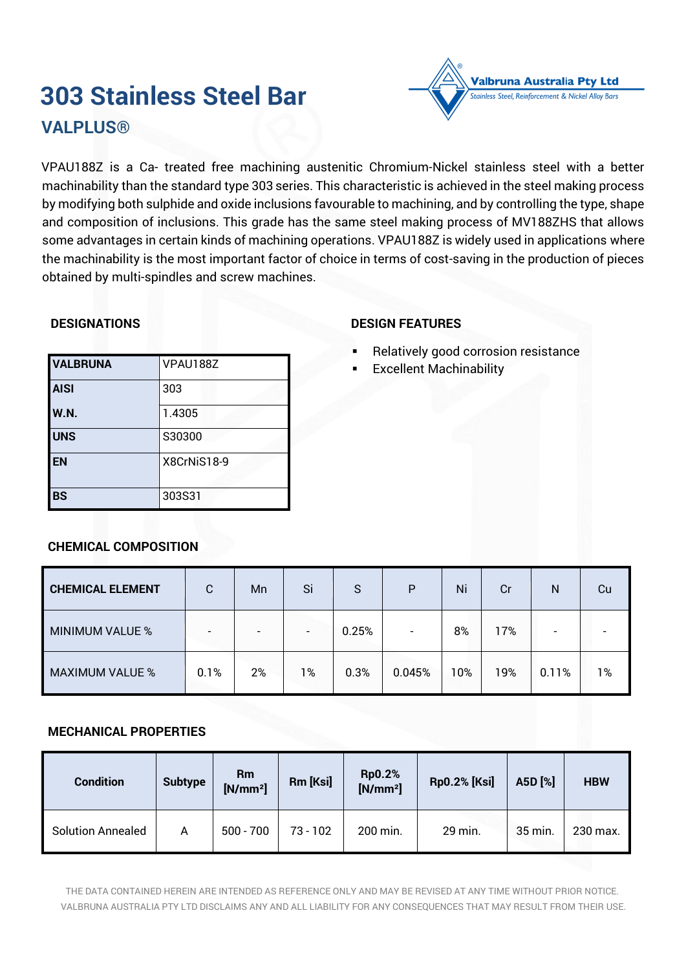# **303 Stainless Steel Bar VALPLUS®**



# **DESIGNATIONS**

# VALBRUNA<sub>VPAU1887</sub> **AISI** 303 **W.N.** 1.4305 **UNS** S30300 **EN** X8CrNiS18-9 **BS** 303S31

# **DESIGN FEATURES**

Relatively good corrosion resistance

Valbruna Australia Pty Ltd less Steel, Reinforcement & Nickel Alloy Bars

**Excellent Machinability** 

| <b>CHEMICAL ELEMENT</b> | C                        | Mn | Si    | S     | P                        | Ni  | Cr  | N     | Cu |
|-------------------------|--------------------------|----|-------|-------|--------------------------|-----|-----|-------|----|
| <b>MINIMUM VALUE %</b>  | $\overline{\phantom{0}}$ |    |       | 0.25% | $\overline{\phantom{0}}$ | 8%  | 17% |       |    |
| <b>MAXIMUM VALUE %</b>  | 0.1%                     | 2% | $1\%$ | 0.3%  | 0.045%                   | 10% | 19% | 0.11% | 1% |

# **CHEMICAL COMPOSITION**

# **MECHANICAL PROPERTIES**

| <b>Condition</b>         | <b>Subtype</b> | Rm<br>$[N/mm^2]$ | Rm [Ksi]   | <b>Rp0.2%</b><br>$[N/mm^2]$ | <b>Rp0.2% [Ksi]</b> | A5D [%] | <b>HBW</b> |
|--------------------------|----------------|------------------|------------|-----------------------------|---------------------|---------|------------|
| <b>Solution Annealed</b> | A              | $500 - 700$      | $73 - 102$ | 200 min.                    | 29 min.             | 35 min. | 230 max.   |

THE DATA CONTAINED HEREIN ARE INTENDED AS REFERENCE ONLY AND MAY BE REVISED AT ANY TIME WITHOUT PRIOR NOTICE. VALBRUNA AUSTRALIA PTY LTD DISCLAIMS ANY AND ALL LIABILITY FOR ANY CONSEQUENCES THAT MAY RESULT FROM THEIR USE.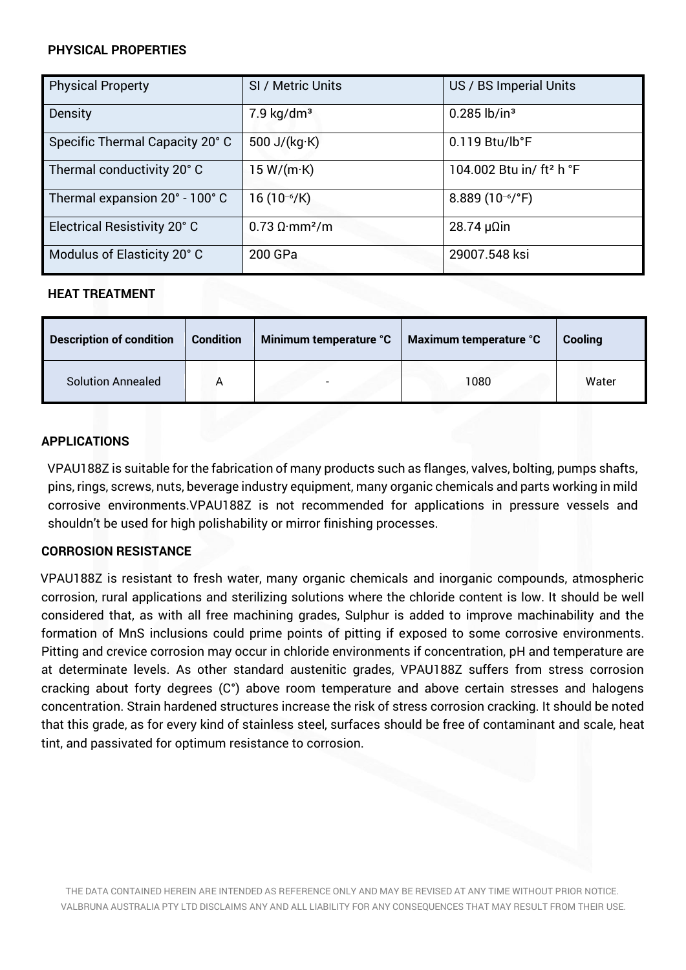#### **PHYSICAL PROPERTIES**

| <b>Physical Property</b>        | SI / Metric Units                        | US / BS Imperial Units               |
|---------------------------------|------------------------------------------|--------------------------------------|
| Density                         | $7.9 \text{ kg/dm}^3$                    | $0.285$ lb/in <sup>3</sup>           |
| Specific Thermal Capacity 20° C | 500 J/( $kg$ ·K)                         | $0.119$ Btu/lb°F                     |
| Thermal conductivity 20° C      | 15 W/(m·K)                               | 104.002 Btu in/ ft <sup>2</sup> h °F |
| Thermal expansion 20° - 100° C  | 16 $(10^{-6}/K)$                         | 8.889 $(10^{-6}/^{\circ}F)$          |
| Electrical Resistivity 20° C    | $0.73 \Omega \cdot \text{mm}^2/\text{m}$ | $28.74 \mu \Omega$ in                |
| Modulus of Elasticity 20° C     | 200 GPa                                  | 29007.548 ksi                        |

#### **HEAT TREATMENT**

| <b>Description of condition</b> | <b>Condition</b> | Minimum temperature °C | Maximum temperature °C | Cooling |
|---------------------------------|------------------|------------------------|------------------------|---------|
| <b>Solution Annealed</b>        |                  |                        | 1080                   | Water   |

# **APPLICATIONS**

VPAU188Z is suitable for the fabrication of many products such as flanges, valves, bolting, pumps shafts, pins, rings, screws, nuts, beverage industry equipment, many organic chemicals and parts working in mild corrosive environments.VPAU188Z is not recommended for applications in pressure vessels and shouldn't be used for high polishability or mirror finishing processes.

# **CORROSION RESISTANCE**

VPAU188Z is resistant to fresh water, many organic chemicals and inorganic compounds, atmospheric corrosion, rural applications and sterilizing solutions where the chloride content is low. It should be well considered that, as with all free machining grades, Sulphur is added to improve machinability and the formation of MnS inclusions could prime points of pitting if exposed to some corrosive environments. Pitting and crevice corrosion may occur in chloride environments if concentration, pH and temperature are at determinate levels. As other standard austenitic grades, VPAU188Z suffers from stress corrosion cracking about forty degrees (C°) above room temperature and above certain stresses and halogens concentration. Strain hardened structures increase the risk of stress corrosion cracking. It should be noted that this grade, as for every kind of stainless steel, surfaces should be free of contaminant and scale, heat tint, and passivated for optimum resistance to corrosion.